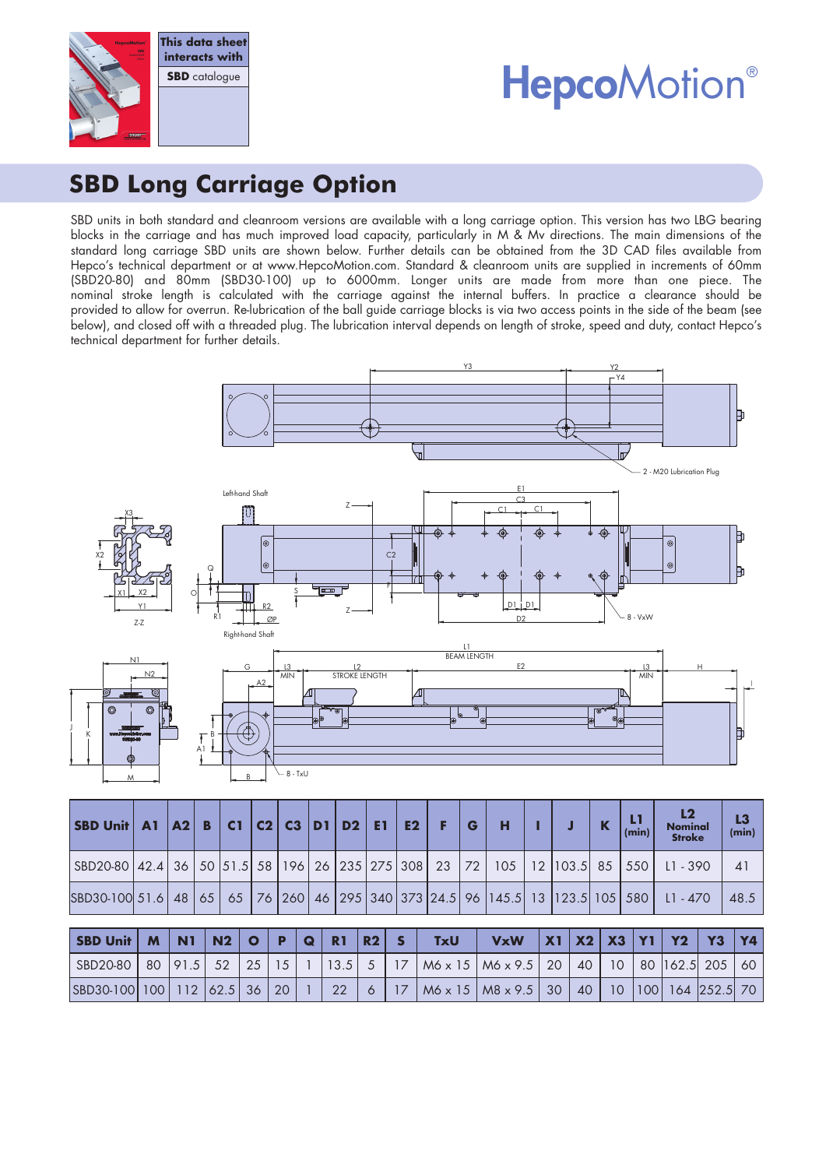

# **HepcoMotion®**

# **SBD Long Carriage Option**

SBD units in both standard and cleanroom versions are available with a long carriage option. This version has two LBG bearing blocks in the carriage and has much improved load capacity, particularly in M & Mv directions. The main dimensions of the standard long carriage SBD units are shown below. Further details can be obtained from the 3D CAD files available from Hepco's technical department or at www.HepcoMotion.com. Standard & cleanroom units are supplied in increments of 60mm (SBD20-80) and 80mm (SBD30-100) up to 6000mm. Longer units are made from more than one piece. The nominal stroke length is calculated with the carriage against the internal buffers. In practice a clearance should be provided to allow for overrun. Re-lubrication of the ball guide carriage blocks is via two access points in the side of the beam (see below), and closed off with a threaded plug. The lubrication interval depends on length of stroke, speed and duty, contact Hepco's technical department for further details.



| SBD20-80   42.4   36   50   51.5   58   196   26   235   275   308   23   72   105   12   103.5   85   550   11 - 390   |  |  |  |  |  |  |  |  |  |      |
|-------------------------------------------------------------------------------------------------------------------------|--|--|--|--|--|--|--|--|--|------|
| SBD30-100 51.6   48   65   65   76   260   46   295   340   373   24.5   96   145.5   13   123.5   105   580   L1 - 470 |  |  |  |  |  |  |  |  |  | 48.5 |

| SBD Unit   M   N1   N2   O   P   Q   R1   R2   S                                                                |  |  |  |  | <b>TxU</b> | VxW  X1  X2   X3  Y1   Y2   Y3  Y4 |  |  |  |  |
|-----------------------------------------------------------------------------------------------------------------|--|--|--|--|------------|------------------------------------|--|--|--|--|
| SBD20-80   80  91.5   52   25   15   1   13.5   5   17   M6 x 15   M6 x 9.5   20   40   10   80  162.5  205  60 |  |  |  |  |            |                                    |  |  |  |  |
| SBD30-100  100  112  62.5  36   20   1   22   6   17   M6 x 15   M8 x 9.5   30   40   10  100  164  252.5  70   |  |  |  |  |            |                                    |  |  |  |  |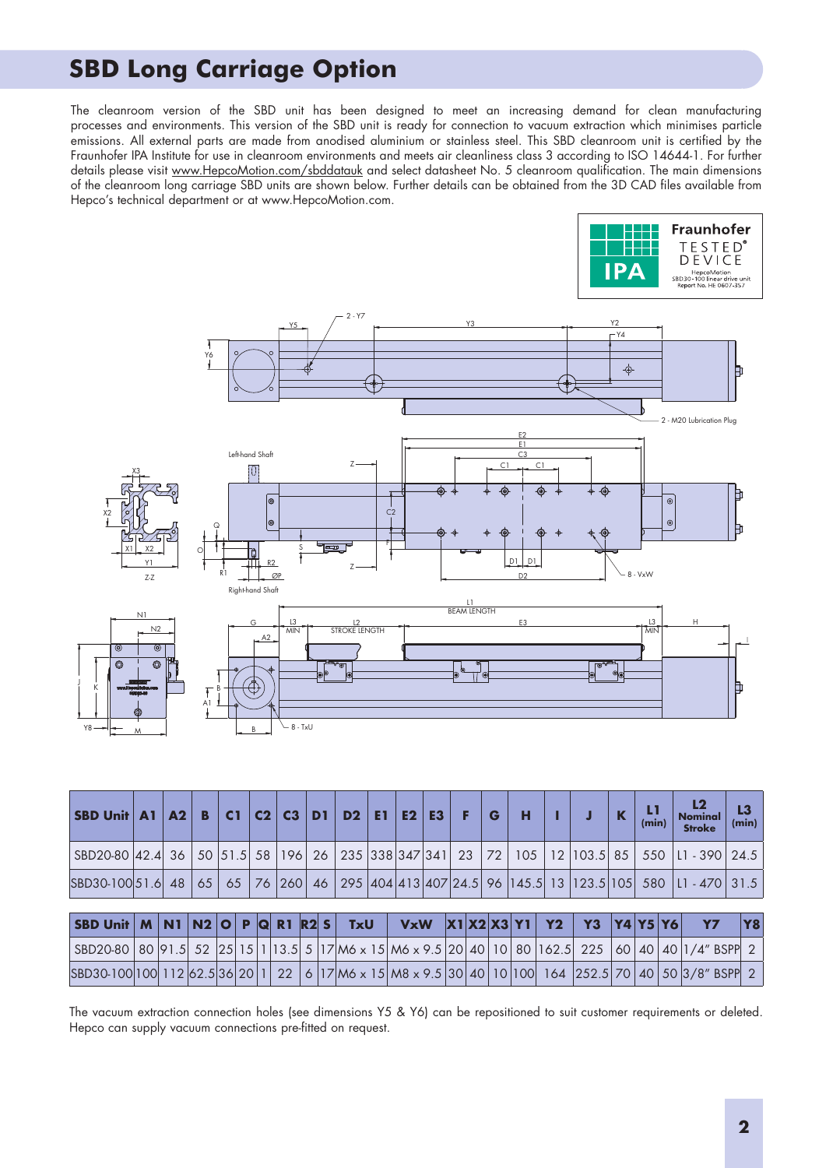#### **SBD Long Carriage Option**

The cleanroom version of the SBD unit has been designed to meet an increasing demand for clean manufacturing processes and environments. This version of the SBD unit is ready for connection to vacuum extraction which minimises particle emissions. All external parts are made from anodised aluminium or stainless steel. This SBD cleanroom unit is certified by the Fraunhofer IPA Institute for use in cleanroom environments and meets air cleanliness class 3 according to ISO 14644-1. For further details please visit www.HepcoMotion.com/sbddatauk and select datasheet No. 5 cleanroom qualification. The main dimensions of the cleanroom long carriage SBD units are shown below. Further details can be obtained from the 3D CAD files available from Hepco's technical department or at www.HepcoMotion.com.



| <b>SBD Unit   A1</b>                                                                                                   |  |  | $A2 \mid B$ |  |  |  | C1 $ C2 C3 $ | DI |  |  | $D2$ E1 E2 | E3 | - F | G | н |                         |    | $\mathbf K$ | (min) | L2<br><b>Nominal</b><br><b>Stroke</b>                                                                      | L3 | (min) |
|------------------------------------------------------------------------------------------------------------------------|--|--|-------------|--|--|--|--------------|----|--|--|------------|----|-----|---|---|-------------------------|----|-------------|-------|------------------------------------------------------------------------------------------------------------|----|-------|
| SBD20-80  42.4  36   50  51.5  58   196   26   235  338 347 341   23   72   105   12  103.5  85   550  L1 - 390   24.5 |  |  |             |  |  |  |              |    |  |  |            |    |     |   |   |                         |    |             |       |                                                                                                            |    |       |
| SBD30-100 51.6 48                                                                                                      |  |  |             |  |  |  |              |    |  |  |            |    |     |   |   |                         |    |             |       | 65   65   76  260   46   295  404  413  407   24.5   96   145.5   13   123.5   105   580   L1 - 470   31.5 |    |       |
|                                                                                                                        |  |  |             |  |  |  |              |    |  |  |            |    |     |   |   |                         |    |             |       |                                                                                                            |    |       |
| SBD Unit $M \ N1 \ N2$ O P Q R1 R2 S TxU                                                                               |  |  |             |  |  |  |              |    |  |  |            |    |     |   |   | $VxW$ $ X1 X2 X3 Y1 Y2$ | Y3 | Y4 Y5 Y6    |       | Y7                                                                                                         |    | Y8    |
| SBD20-80 80 91.5 52 25 15 1 13.5 5 17 M6 x 15 M6 x 9.5 20 40 10 80 162.5 225 60 40 40 1/4" BSPP 2                      |  |  |             |  |  |  |              |    |  |  |            |    |     |   |   |                         |    |             |       |                                                                                                            |    |       |
| SBD30-100 100 112 62.5 36 20 1 22 6 17 M6 x 15 M8 x 9.5 30 40 10 100 164 252.5 70 40 50 3/8" BSPP 2                    |  |  |             |  |  |  |              |    |  |  |            |    |     |   |   |                         |    |             |       |                                                                                                            |    |       |

The vacuum extraction connection holes (see dimensions Y5 & Y6) can be repositioned to suit customer requirements or deleted. Hepco can supply vacuum connections pre-fitted on request.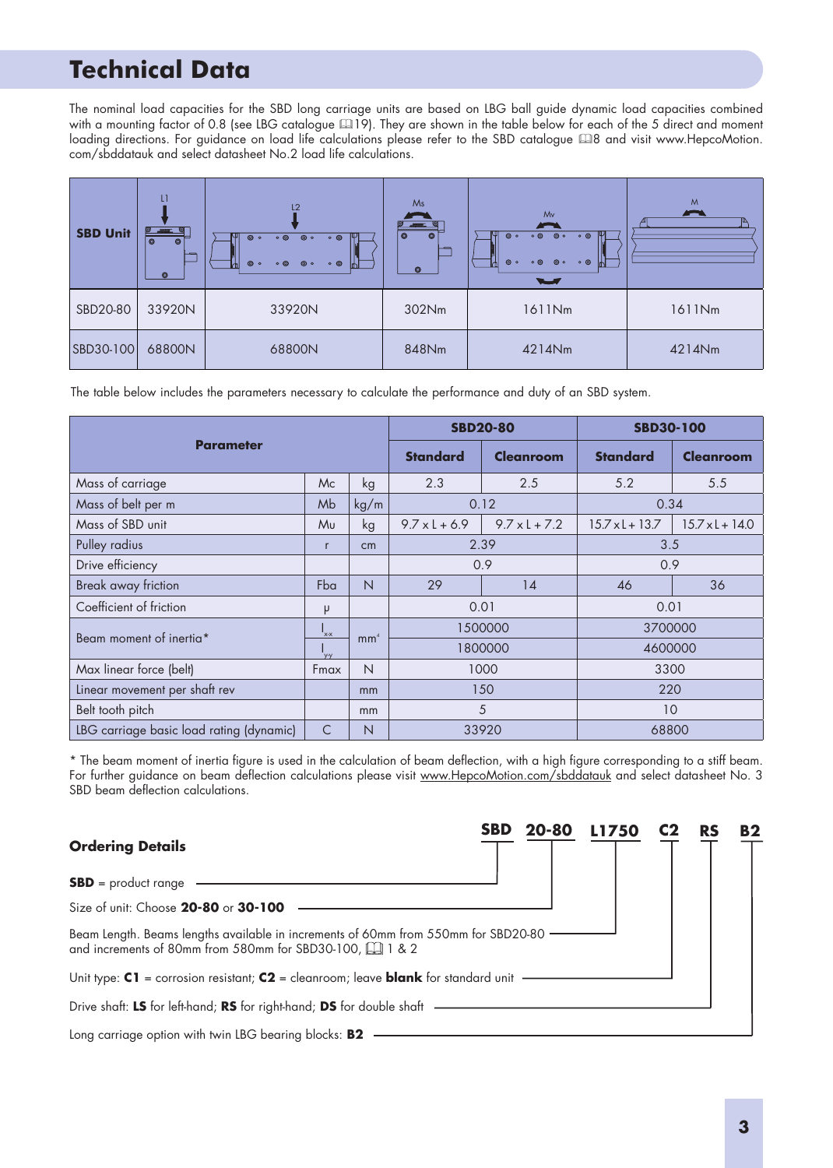# **SBD Motor Connections Technical Data**

The nominal load capacities for the SBD long carriage units are based on LBG ball guide dynamic load capacities combined with a mounting factor of 0.8 (see LBG catalogue 419). They are shown in the table below for each of the 5 direct and moment loading directions. For guidance on load life calculations please refer to the SBD catalogue 48 and visit www.HepcoMotion. com/sbddatauk and select datasheet No.2 load life calculations.

| <b>SBD Unit</b> | L1<br>ø<br>$\circ$<br>$\circ$<br>ᅩ<br>$\circledcirc$ | L2<br>$\circ$ $\circ$<br>$\circ$<br>$\circ$<br>$\circ$ $\circ$<br>$\circ$<br>$\circ$ $\circ$<br>$\circ$<br>$\circ$ $\circ$<br>m | Ms<br>  ၜႜ<br>$\circledcirc$<br>$\overline{\phantom{a}}$<br>$\circledcirc$ | Mv<br>$\circ$ $\circ$ $\circ$<br>ΝШ<br>$\circ$ $\circ$<br>$\circ$<br>$\circ$<br>$\circ$<br>$\circ$ $\circ$<br>$\circ$ $\circ$<br>Ѩ<br>$\sim$ | M<br>$\blacktriangleright$ |
|-----------------|------------------------------------------------------|---------------------------------------------------------------------------------------------------------------------------------|----------------------------------------------------------------------------|----------------------------------------------------------------------------------------------------------------------------------------------|----------------------------|
| SBD20-80        | 33920N                                               | 33920N                                                                                                                          | 302Nm                                                                      | 1611Nm                                                                                                                                       | 1611Nm                     |
| SBD30-100       | 68800N                                               | 68800N                                                                                                                          | 848Nm                                                                      | 4214Nm                                                                                                                                       | 4214Nm                     |

The table below includes the parameters necessary to calculate the performance and duty of an SBD system.

|                                          |              |                 |                 | <b>SBD20-80</b>      | <b>SBD30-100</b>       |                        |  |  |
|------------------------------------------|--------------|-----------------|-----------------|----------------------|------------------------|------------------------|--|--|
| <b>Parameter</b>                         |              |                 | <b>Standard</b> | <b>Cleanroom</b>     | <b>Standard</b>        | <b>Cleanroom</b>       |  |  |
| Mass of carriage                         | Mc           | kg              | 2.3             | 2.5                  | 5.2                    | 5.5                    |  |  |
| Mass of belt per m                       | Mb           | kg/m            |                 | 0.12                 | 0.34                   |                        |  |  |
| Mass of SBD unit                         | Mu           | kg              | $9.7xL + 6.9$   | $9.7 \times 1 + 7.2$ | $15.7 \times L + 13.7$ | $15.7 \times 1 + 14.0$ |  |  |
| Pulley radius                            | $\mathsf{r}$ | cm              |                 | 2.39                 | 3.5                    |                        |  |  |
| Drive efficiency                         |              |                 | 0.9             |                      | 0.9                    |                        |  |  |
| Break away friction                      | Fba          | $\overline{N}$  | 29              | 14                   | 46                     | 36                     |  |  |
| Coefficient of friction                  | μ            |                 |                 | 0.01                 | 0.01                   |                        |  |  |
| Beam moment of inertia*                  | 'x-x         | mm <sup>4</sup> |                 | 1500000              | 3700000                |                        |  |  |
|                                          | 'y-y         |                 |                 | 1800000              | 4600000                |                        |  |  |
| Max linear force (belt)                  | Fmax         | N               |                 | 1000                 | 3300                   |                        |  |  |
| Linear movement per shaft rev            |              | mm              |                 | 150                  | 220                    |                        |  |  |
| Belt tooth pitch                         |              | mm              |                 | 5                    | 10                     |                        |  |  |
| LBG carriage basic load rating (dynamic) | $\subset$    | N               |                 | 33920                | 68800                  |                        |  |  |

\* The beam moment of inertia figure is used in the calculation of beam deflection, with a high figure corresponding to a stiff beam. For further guidance on beam deflection calculations please visit www.HepcoMotion.com/sbddatauk and select datasheet No. 3 SBD beam deflection calculations.

| <b>Ordering Details</b>                                                                                                                          | <b>SBD</b> | 20-80 | L1750 | <b>RS</b> | <b>B2</b> |
|--------------------------------------------------------------------------------------------------------------------------------------------------|------------|-------|-------|-----------|-----------|
| $SBD = product range$                                                                                                                            |            |       |       |           |           |
| Size of unit: Choose 20-80 or 30-100                                                                                                             |            |       |       |           |           |
| Beam Length. Beams lengths available in increments of 60mm from 550mm for SBD20-80<br>and increments of 80mm from 580mm for SBD30-100, [1] 1 & 2 |            |       |       |           |           |
| Unit type: $C1$ = corrosion resistant; $C2$ = cleanroom; leave <b>blank</b> for standard unit                                                    |            |       |       |           |           |
| Drive shaft: LS for left-hand; RS for right-hand; DS for double shaft                                                                            |            |       |       |           |           |
| Long carriage option with twin LBG bearing blocks: B2                                                                                            |            |       |       |           |           |